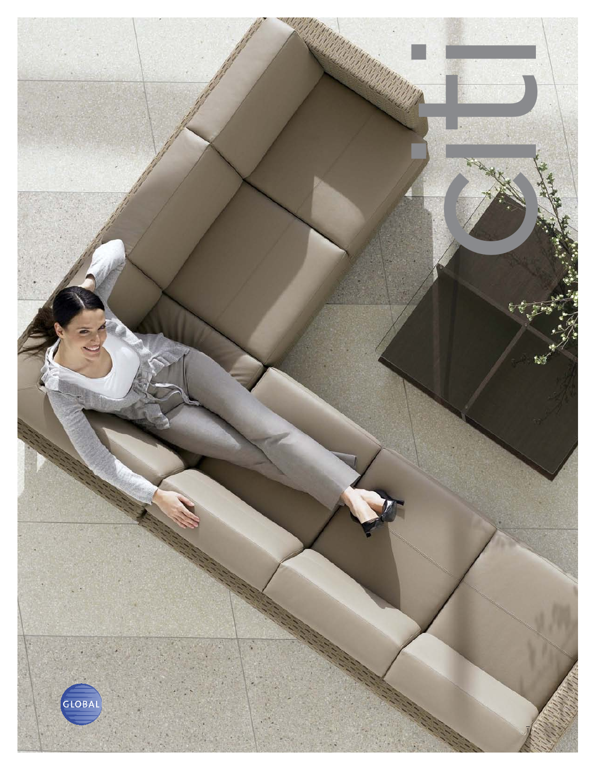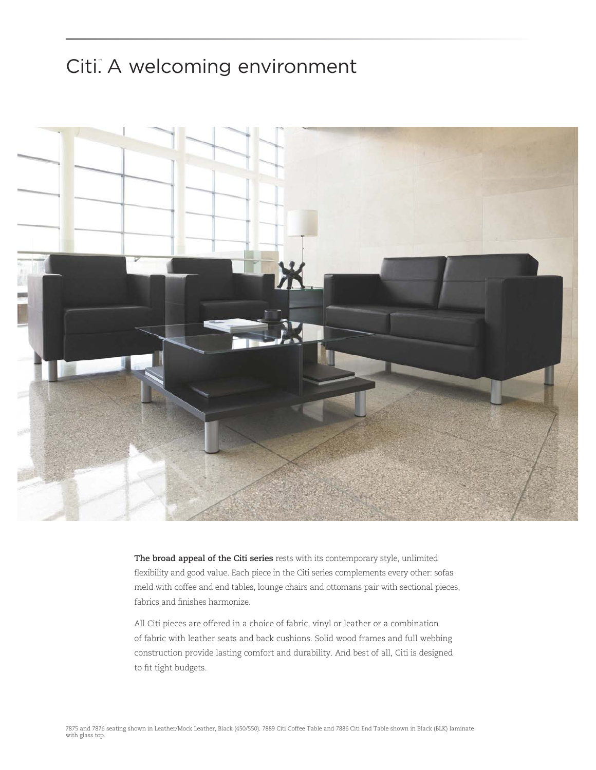## Citi. A welcoming environment



**The broad appeal of the Citi series** rests with its contemporary style, unlimited flexibility and good value. Each piece in the Citi series complements every other: sofas meld with coffee and end tables, lounge chairs and ottomans pair with sectional pieces, fabrics and finishes harmonize.

All Citi pieces are offered in a choice of fabric, vinyl or leather or a combination of fabric with leather seats and back cushions. Solid wood frames and full webbing construction provide lasting comfort and durability. And best of all, Citi is designed to fit tight budgets.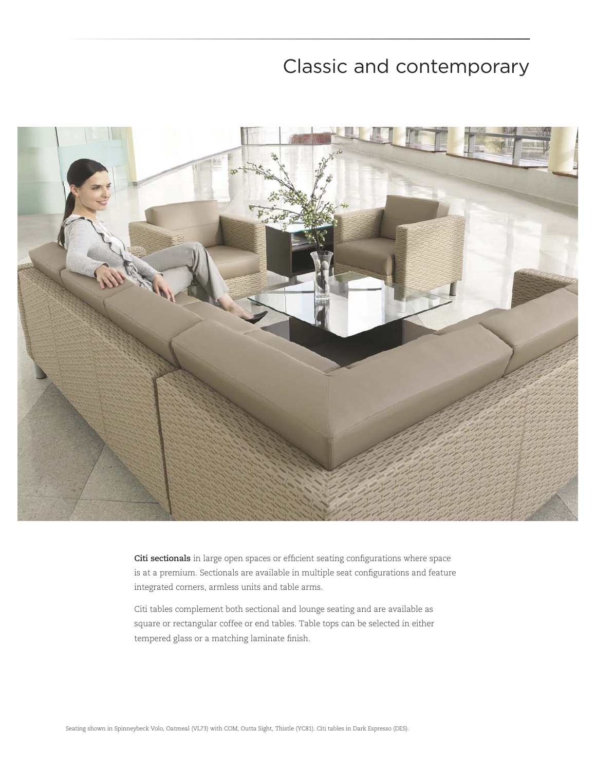## Classic and contemporary



**Citi sectionals** in large open spaces or efficient seating configurations where space is at a premium. Sectionals are available in multiple seat configurations and feature integrated corners, armless units and table arms.

Citi tables complement both sectional and lounge seating and are available as square or rectangular coffee or end tables. Table tops can be selected in either tempered glass or a matching laminate finish.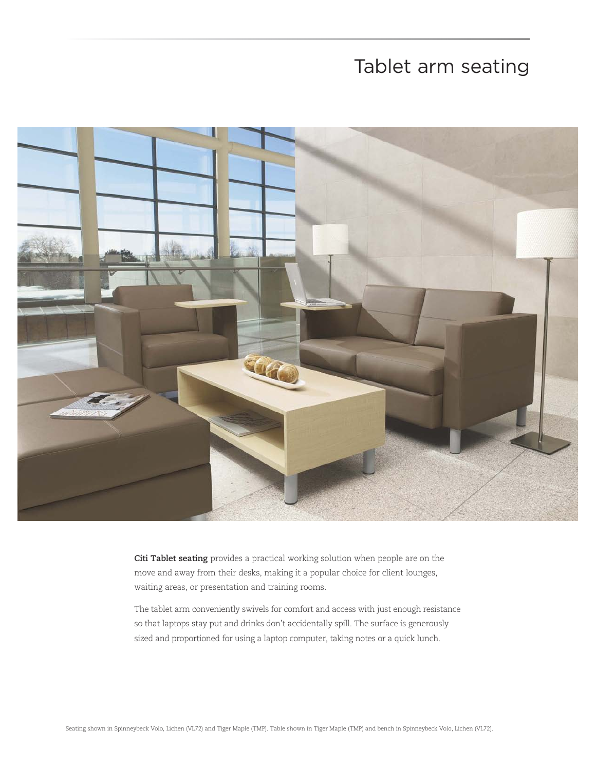## Tablet arm seating



**Citi Tablet seating** provides a practical working solution when people are on the move and away from their desks, making it a popular choice for client lounges, waiting areas, or presentation and training rooms.

The tablet arm conveniently swivels for comfort and access with just enough resistance so that laptops stay put and drinks don't accidentally spill. The surface is generously sized and proportioned for using a laptop computer, taking notes or a quick lunch.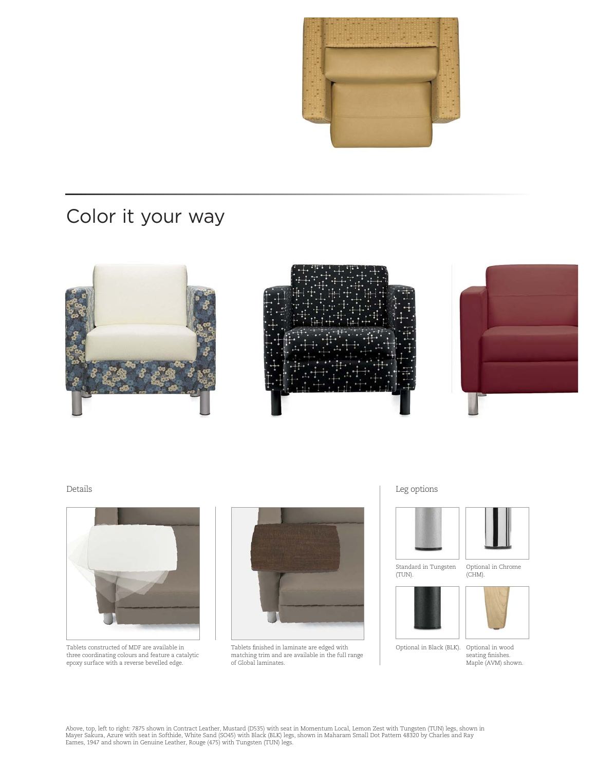

# Color it your way





Tablets constructed of MDF are available in three coordinating colours and feature a catalytic epoxy surface with a reverse bevelled edge.



Tablets finished in laminate are edged with matching trim and are available in the full range of Global laminates.

Details Leg options



Standard in Tungsten (TUN).





Optional in Black (BLK).

Optional in Chrome



Optional in wood<br>seating finishes. Maple (AVM) shown.